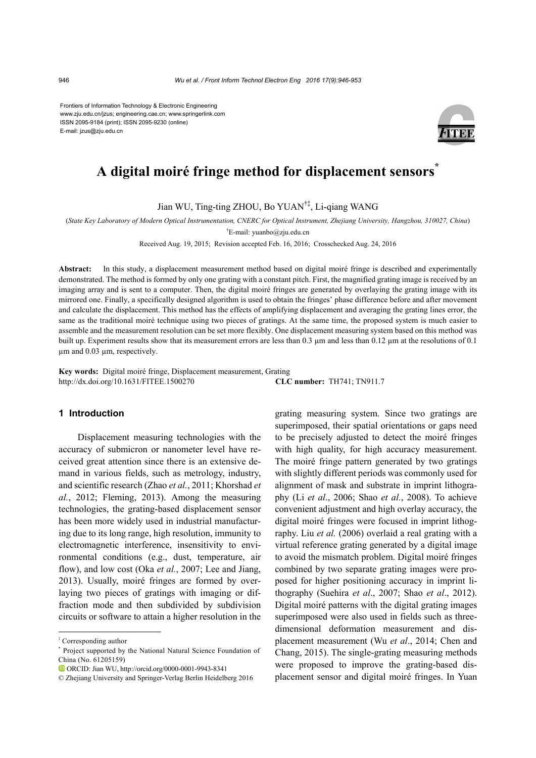Frontiers of Information Technology & Electronic Engineering www.zju.edu.cn/jzus; engineering.cae.cn; www.springerlink.com ISSN 2095-9184 (print); ISSN 2095-9230 (online) E-mail: jzus@zju.edu.cn



# **A digital moiré fringe method for displacement sensors\***

Jian WU, Ting-ting ZHOU, Bo YUAN†‡, Li-qiang WANG

(*State Key Laboratory of Modern Optical Instrumentation, CNERC for Optical Instrument, Zhejiang University, Hangzhou, 310027, China*)

† E-mail: yuanbo@zju.edu.cn

Received Aug. 19, 2015; Revision accepted Feb. 16, 2016; Crosschecked Aug. 24, 2016

**Abstract:** In this study, a displacement measurement method based on digital moiré fringe is described and experimentally demonstrated. The method is formed by only one grating with a constant pitch. First, the magnified grating image is received by an imaging array and is sent to a computer. Then, the digital moiré fringes are generated by overlaying the grating image with its mirrored one. Finally, a specifically designed algorithm is used to obtain the fringes' phase difference before and after movement and calculate the displacement. This method has the effects of amplifying displacement and averaging the grating lines error, the same as the traditional moiré technique using two pieces of gratings. At the same time, the proposed system is much easier to assemble and the measurement resolution can be set more flexibly. One displacement measuring system based on this method was built up. Experiment results show that its measurement errors are less than 0.3 µm and less than 0.12 µm at the resolutions of 0.1 um and 0.03 um, respectively.

**Key words:** Digital moiré fringe, Displacement measurement, Grating http://dx.doi.org/10.1631/FITEE.1500270 **CLC number:** TH741; TN911.7

# **1 Introduction**

Displacement measuring technologies with the accuracy of submicron or nanometer level have received great attention since there is an extensive demand in various fields, such as metrology, industry, and scientific research (Zhao *et al.*, 2011; Khorshad *et al.*, 2012; Fleming, 2013). Among the measuring technologies, the grating-based displacement sensor has been more widely used in industrial manufacturing due to its long range, high resolution, immunity to electromagnetic interference, insensitivity to environmental conditions (e.g., dust, temperature, air flow), and low cost (Oka *et al.*, 2007; Lee and Jiang, 2013). Usually, moiré fringes are formed by overlaying two pieces of gratings with imaging or diffraction mode and then subdivided by subdivision circuits or software to attain a higher resolution in the grating measuring system. Since two gratings are superimposed, their spatial orientations or gaps need to be precisely adjusted to detect the moiré fringes with high quality, for high accuracy measurement. The moiré fringe pattern generated by two gratings with slightly different periods was commonly used for alignment of mask and substrate in imprint lithography (Li *et al*., 2006; Shao *et al.*, 2008). To achieve convenient adjustment and high overlay accuracy, the digital moiré fringes were focused in imprint lithography. Liu *et al.* (2006) overlaid a real grating with a virtual reference grating generated by a digital image to avoid the mismatch problem. Digital moiré fringes combined by two separate grating images were proposed for higher positioning accuracy in imprint lithography (Suehira *et al*., 2007; Shao *et al*., 2012). Digital moiré patterns with the digital grating images superimposed were also used in fields such as threedimensional deformation measurement and displacement measurement (Wu *et al*., 2014; Chen and Chang, 2015). The single-grating measuring methods were proposed to improve the grating-based displacement sensor and digital moiré fringes. In Yuan

<sup>‡</sup> Corresponding author

<sup>\*</sup> Project supported by the National Natural Science Foundation of China (No. 61205159)

ORCID: Jian WU, http://orcid.org/0000-0001-9943-8341

<sup>©</sup> Zhejiang University and Springer-Verlag Berlin Heidelberg 2016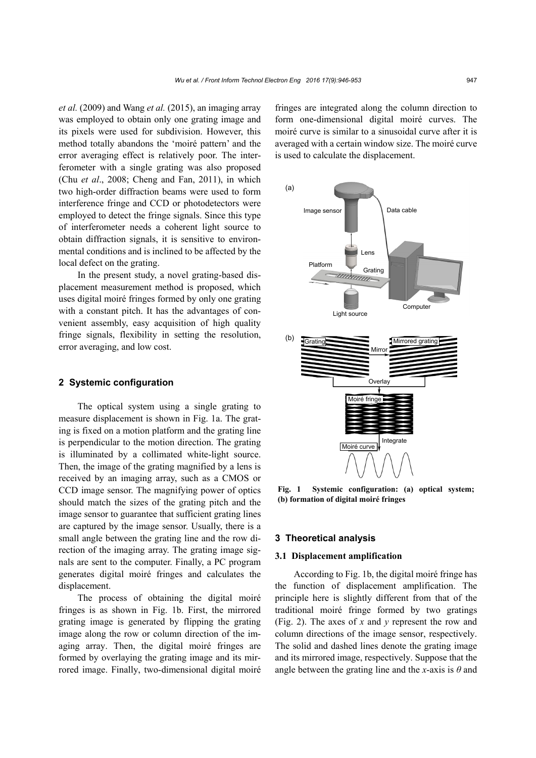*et al.* (2009) and Wang *et al.* (2015), an imaging array was employed to obtain only one grating image and its pixels were used for subdivision. However, this method totally abandons the 'moiré pattern' and the error averaging effect is relatively poor. The interferometer with a single grating was also proposed (Chu *et al*., 2008; Cheng and Fan, 2011), in which two high-order diffraction beams were used to form interference fringe and CCD or photodetectors were employed to detect the fringe signals. Since this type of interferometer needs a coherent light source to obtain diffraction signals, it is sensitive to environmental conditions and is inclined to be affected by the local defect on the grating.

In the present study, a novel grating-based displacement measurement method is proposed, which uses digital moiré fringes formed by only one grating with a constant pitch. It has the advantages of convenient assembly, easy acquisition of high quality fringe signals, flexibility in setting the resolution, error averaging, and low cost.

## **2 Systemic configuration**

The optical system using a single grating to measure displacement is shown in Fig. 1a. The grating is fixed on a motion platform and the grating line is perpendicular to the motion direction. The grating is illuminated by a collimated white-light source. Then, the image of the grating magnified by a lens is received by an imaging array, such as a CMOS or CCD image sensor. The magnifying power of optics should match the sizes of the grating pitch and the image sensor to guarantee that sufficient grating lines are captured by the image sensor. Usually, there is a small angle between the grating line and the row direction of the imaging array. The grating image signals are sent to the computer. Finally, a PC program generates digital moiré fringes and calculates the displacement.

The process of obtaining the digital moiré fringes is as shown in Fig. 1b. First, the mirrored grating image is generated by flipping the grating image along the row or column direction of the imaging array. Then, the digital moiré fringes are formed by overlaying the grating image and its mirrored image. Finally, two-dimensional digital moiré fringes are integrated along the column direction to form one-dimensional digital moiré curves. The moiré curve is similar to a sinusoidal curve after it is averaged with a certain window size. The moiré curve is used to calculate the displacement.



**Fig. 1 Systemic configuration: (a) optical system; (b) formation of digital moiré fringes** 

## **3 Theoretical analysis**

# **3.1 Displacement amplification**

According to Fig. 1b, the digital moiré fringe has the function of displacement amplification. The principle here is slightly different from that of the traditional moiré fringe formed by two gratings (Fig. 2). The axes of *x* and *y* represent the row and column directions of the image sensor, respectively. The solid and dashed lines denote the grating image and its mirrored image, respectively. Suppose that the angle between the grating line and the *x*-axis is *θ* and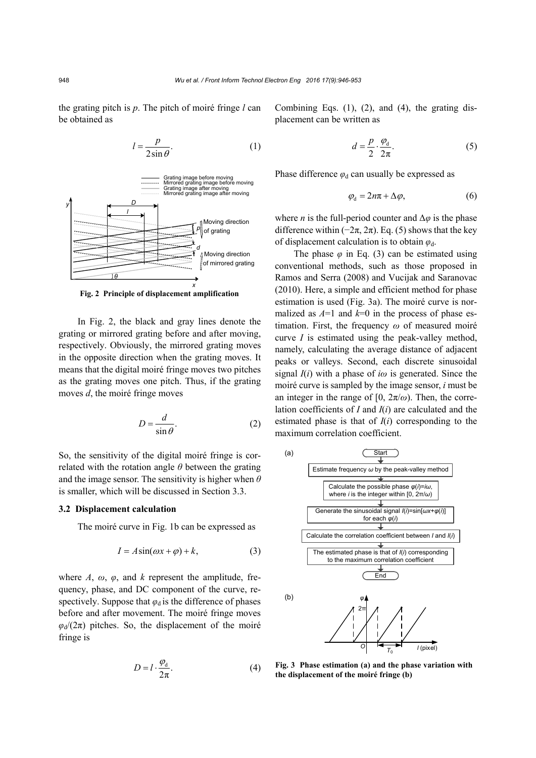the grating pitch is *p*. The pitch of moiré fringe *l* can be obtained as

$$
l = \frac{p}{2\sin\theta}.\tag{1}
$$



**Fig. 2 Principle of displacement amplification** 

In Fig. 2, the black and gray lines denote the grating or mirrored grating before and after moving, respectively. Obviously, the mirrored grating moves in the opposite direction when the grating moves. It means that the digital moiré fringe moves two pitches as the grating moves one pitch. Thus, if the grating moves *d*, the moiré fringe moves

$$
D = \frac{d}{\sin \theta}.
$$
 (2)

So, the sensitivity of the digital moiré fringe is correlated with the rotation angle *θ* between the grating and the image sensor. The sensitivity is higher when *θ* is smaller, which will be discussed in Section 3.3.

## **3.2 Displacement calculation**

The moiré curve in Fig. 1b can be expressed as

$$
I = A\sin(\omega x + \varphi) + k,\tag{3}
$$

where  $A$ ,  $\omega$ ,  $\varphi$ , and  $k$  represent the amplitude, frequency, phase, and DC component of the curve, respectively. Suppose that  $\varphi_d$  is the difference of phases before and after movement. The moiré fringe moves  $\varphi$ <sub>d</sub>/(2π) pitches. So, the displacement of the moiré fringe is

$$
D = l \cdot \frac{\varphi_d}{2\pi}.\tag{4}
$$

Combining Eqs.  $(1)$ ,  $(2)$ , and  $(4)$ , the grating displacement can be written as

$$
d = \frac{p}{2} \cdot \frac{\varphi_{\rm d}}{2\pi}.\tag{5}
$$

Phase difference  $\varphi_d$  can usually be expressed as

$$
\varphi_{d} = 2n\pi + \Delta\varphi, \tag{6}
$$

where *n* is the full-period counter and  $\Delta \varphi$  is the phase difference within  $(-2\pi, 2\pi)$ . Eq. (5) shows that the key of displacement calculation is to obtain *φ*d.

The phase  $\varphi$  in Eq. (3) can be estimated using conventional methods, such as those proposed in Ramos and Serra (2008) and Vucijak and Saranovac (2010). Here, a simple and efficient method for phase estimation is used (Fig. 3a). The moiré curve is normalized as  $A=1$  and  $k=0$  in the process of phase estimation. First, the frequency *ω* of measured moiré curve *I* is estimated using the peak-valley method, namely, calculating the average distance of adjacent peaks or valleys. Second, each discrete sinusoidal signal *I*(*i*) with a phase of *iω* is generated. Since the moiré curve is sampled by the image sensor, *i* must be an integer in the range of  $[0, 2\pi/\omega)$ . Then, the correlation coefficients of *I* and *I*(*i*) are calculated and the estimated phase is that of  $I(i)$  corresponding to the maximum correlation coefficient.



**Fig. 3 Phase estimation (a) and the phase variation with the displacement of the moiré fringe (b)**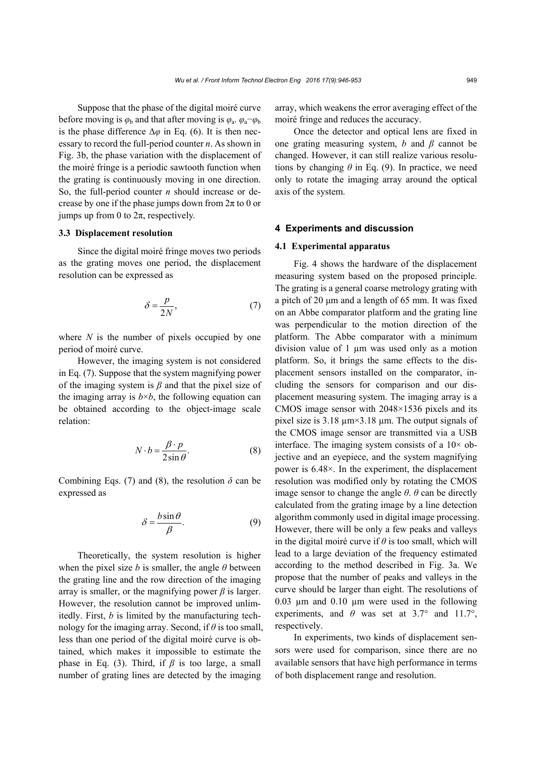Suppose that the phase of the digital moiré curve before moving is  $\varphi_b$  and that after moving is  $\varphi_a$ .  $\varphi_a-\varphi_b$ is the phase difference  $\Delta\varphi$  in Eq. (6). It is then necessary to record the full-period counter *n*. As shown in Fig. 3b, the phase variation with the displacement of the moiré fringe is a periodic sawtooth function when the grating is continuously moving in one direction. So, the full-period counter *n* should increase or decrease by one if the phase jumps down from  $2\pi$  to 0 or jumps up from 0 to  $2\pi$ , respectively.

## **3.3 Displacement resolution**

Since the digital moiré fringe moves two periods as the grating moves one period, the displacement resolution can be expressed as

$$
\delta = \frac{p}{2N},\tag{7}
$$

where *N* is the number of pixels occupied by one period of moiré curve.

However, the imaging system is not considered in Eq. (7). Suppose that the system magnifying power of the imaging system is *β* and that the pixel size of the imaging array is  $b \times b$ , the following equation can be obtained according to the object-image scale relation:

$$
N \cdot b = \frac{\beta \cdot p}{2 \sin \theta}.\tag{8}
$$

Combining Eqs. (7) and (8), the resolution  $\delta$  can be expressed as

$$
\delta = \frac{b \sin \theta}{\beta}.
$$
 (9)

Theoretically, the system resolution is higher when the pixel size *b* is smaller, the angle  $\theta$  between the grating line and the row direction of the imaging array is smaller, or the magnifying power  $\beta$  is larger. However, the resolution cannot be improved unlimitedly. First, *b* is limited by the manufacturing technology for the imaging array. Second, if *θ* is too small, less than one period of the digital moiré curve is obtained, which makes it impossible to estimate the phase in Eq. (3). Third, if  $\beta$  is too large, a small number of grating lines are detected by the imaging

array, which weakens the error averaging effect of the moiré fringe and reduces the accuracy.

Once the detector and optical lens are fixed in one grating measuring system, *b* and *β* cannot be changed. However, it can still realize various resolutions by changing  $\theta$  in Eq. (9). In practice, we need only to rotate the imaging array around the optical axis of the system.

## **4 Experiments and discussion**

#### **4.1 Experimental apparatus**

Fig. 4 shows the hardware of the displacement measuring system based on the proposed principle. The grating is a general coarse metrology grating with a pitch of 20 μm and a length of 65 mm. It was fixed on an Abbe comparator platform and the grating line was perpendicular to the motion direction of the platform. The Abbe comparator with a minimum division value of 1 µm was used only as a motion platform. So, it brings the same effects to the displacement sensors installed on the comparator, including the sensors for comparison and our displacement measuring system. The imaging array is a CMOS image sensor with 2048×1536 pixels and its pixel size is 3.18 µm×3.18 µm. The output signals of the CMOS image sensor are transmitted via a USB interface. The imaging system consists of a  $10\times$  objective and an eyepiece, and the system magnifying power is 6.48×. In the experiment, the displacement resolution was modified only by rotating the CMOS image sensor to change the angle  $\theta$ .  $\theta$  can be directly calculated from the grating image by a line detection algorithm commonly used in digital image processing. However, there will be only a few peaks and valleys in the digital moiré curve if *θ* is too small, which will lead to a large deviation of the frequency estimated according to the method described in Fig. 3a. We propose that the number of peaks and valleys in the curve should be larger than eight. The resolutions of 0.03 µm and 0.10 µm were used in the following experiments, and  $\theta$  was set at 3.7° and 11.7°, respectively.

In experiments, two kinds of displacement sensors were used for comparison, since there are no available sensors that have high performance in terms of both displacement range and resolution.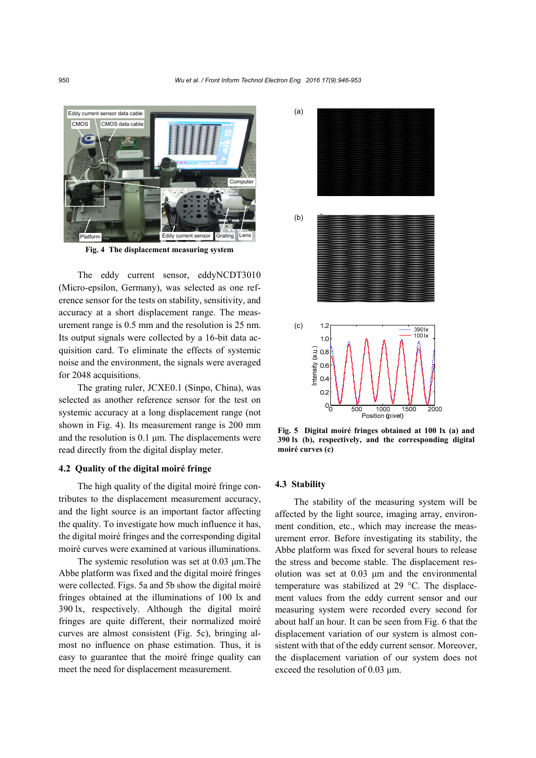

**Fig. 4 The displacement measuring system**

The eddy current sensor, eddyNCDT3010 (Micro-epsilon, Germany), was selected as one reference sensor for the tests on stability, sensitivity, and accuracy at a short displacement range. The measurement range is 0.5 mm and the resolution is 25 nm. Its output signals were collected by a 16-bit data acquisition card. To eliminate the effects of systemic noise and the environment, the signals were averaged for 2048 acquisitions.

The grating ruler, JCXE0.1 (Sinpo, China), was selected as another reference sensor for the test on systemic accuracy at a long displacement range (not shown in Fig. 4). Its measurement range is 200 mm and the resolution is 0.1 μm. The displacements were read directly from the digital display meter.

## **4.2 Quality of the digital moiré fringe**

The high quality of the digital moiré fringe contributes to the displacement measurement accuracy, and the light source is an important factor affecting the quality. To investigate how much influence it has, the digital moiré fringes and the corresponding digital moiré curves were examined at various illuminations.

The systemic resolution was set at 0.03 μm.The Abbe platform was fixed and the digital moiré fringes were collected. Figs. 5a and 5b show the digital moiré fringes obtained at the illuminations of 100 lx and 390 lx, respectively. Although the digital moiré fringes are quite different, their normalized moiré curves are almost consistent (Fig. 5c), bringing almost no influence on phase estimation. Thus, it is easy to guarantee that the moiré fringe quality can meet the need for displacement measurement.



**Fig. 5 Digital moiré fringes obtained at 100 lx (a) and 390 lx (b), respectively, and the corresponding digital moiré curves (c)**

## **4.3 Stability**

The stability of the measuring system will be affected by the light source, imaging array, environment condition, etc., which may increase the measurement error. Before investigating its stability, the Abbe platform was fixed for several hours to release the stress and become stable. The displacement resolution was set at 0.03 μm and the environmental temperature was stabilized at 29 °C. The displacement values from the eddy current sensor and our measuring system were recorded every second for about half an hour. It can be seen from Fig. 6 that the displacement variation of our system is almost consistent with that of the eddy current sensor. Moreover, the displacement variation of our system does not exceed the resolution of 0.03 μm.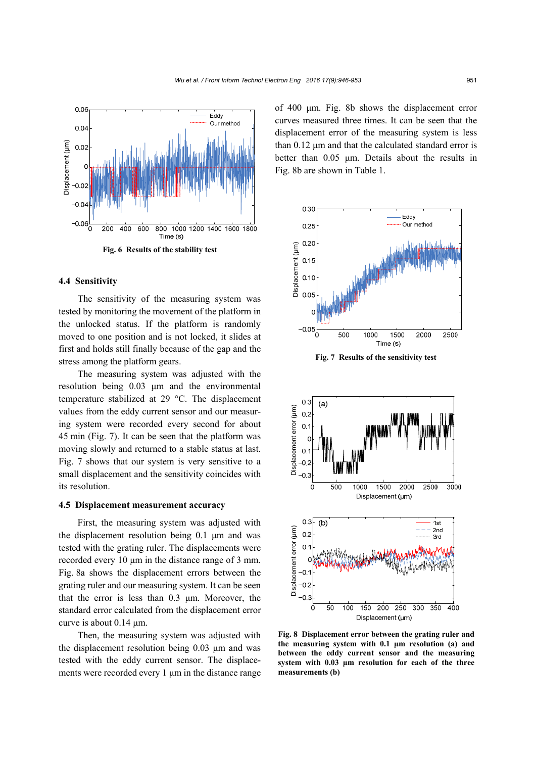

## **4.4 Sensitivity**

The sensitivity of the measuring system was tested by monitoring the movement of the platform in the unlocked status. If the platform is randomly moved to one position and is not locked, it slides at first and holds still finally because of the gap and the stress among the platform gears.

The measuring system was adjusted with the resolution being 0.03 μm and the environmental temperature stabilized at 29 °C. The displacement values from the eddy current sensor and our measuring system were recorded every second for about 45 min (Fig. 7). It can be seen that the platform was moving slowly and returned to a stable status at last. Fig. 7 shows that our system is very sensitive to a small displacement and the sensitivity coincides with its resolution.

## **4.5 Displacement measurement accuracy**

First, the measuring system was adjusted with the displacement resolution being 0.1 μm and was tested with the grating ruler. The displacements were recorded every 10 μm in the distance range of 3 mm. Fig. 8a shows the displacement errors between the grating ruler and our measuring system. It can be seen that the error is less than 0.3 μm. Moreover, the standard error calculated from the displacement error curve is about 0.14 μm.

Then, the measuring system was adjusted with the displacement resolution being 0.03 μm and was tested with the eddy current sensor. The displacements were recorded every 1 μm in the distance range of 400 μm. Fig. 8b shows the displacement error curves measured three times. It can be seen that the displacement error of the measuring system is less than 0.12 μm and that the calculated standard error is better than 0.05 μm. Details about the results in Fig. 8b are shown in Table 1.



**Fig. 7 Results of the sensitivity test**



**Fig. 8 Displacement error between the grating ruler and the measuring system with 0.1 μm resolution (a) and between the eddy current sensor and the measuring system with 0.03 μm resolution for each of the three**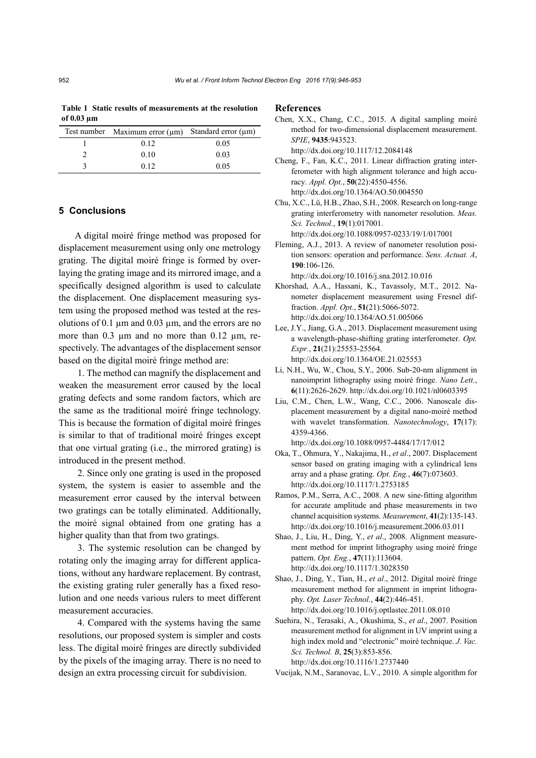**Table 1 Static results of measurements at the resolution of 0.03 µm** 

| Test number Maximum error $(\mu m)$ Standard error $(\mu m)$ |      |
|--------------------------------------------------------------|------|
| 0.12                                                         | 0.05 |
| 0.10                                                         | 0.03 |
| 0.12                                                         | 0.05 |

# **5 Conclusions**

A digital moiré fringe method was proposed for displacement measurement using only one metrology grating. The digital moiré fringe is formed by overlaying the grating image and its mirrored image, and a specifically designed algorithm is used to calculate the displacement. One displacement measuring system using the proposed method was tested at the resolutions of 0.1  $\mu$ m and 0.03  $\mu$ m, and the errors are no more than 0.3 µm and no more than 0.12 µm, respectively. The advantages of the displacement sensor based on the digital moiré fringe method are:

1. The method can magnify the displacement and weaken the measurement error caused by the local grating defects and some random factors, which are the same as the traditional moiré fringe technology. This is because the formation of digital moiré fringes is similar to that of traditional moiré fringes except that one virtual grating (i.e., the mirrored grating) is introduced in the present method.

2. Since only one grating is used in the proposed system, the system is easier to assemble and the measurement error caused by the interval between two gratings can be totally eliminated. Additionally, the moiré signal obtained from one grating has a higher quality than that from two gratings.

3. The systemic resolution can be changed by rotating only the imaging array for different applications, without any hardware replacement. By contrast, the existing grating ruler generally has a fixed resolution and one needs various rulers to meet different measurement accuracies.

4. Compared with the systems having the same resolutions, our proposed system is simpler and costs less. The digital moiré fringes are directly subdivided by the pixels of the imaging array. There is no need to design an extra processing circuit for subdivision.

## **References**

- Chen, X.X., Chang, C.C., 2015. A digital sampling moiré method for two-dimensional displacement measurement. *SPIE*, **9435**:943523. http://dx.doi.org/10.1117/12.2084148
- Cheng, F., Fan, K.C., 2011. Linear diffraction grating interferometer with high alignment tolerance and high accuracy. *Appl. Opt.*, **50**(22):4550-4556. http://dx.doi.org/10.1364/AO.50.004550
- Chu, X.C., Lü, H.B., Zhao, S.H., 2008. Research on long-range grating interferometry with nanometer resolution. *Meas. Sci. Technol.*, **19**(1):017001.

http://dx.doi.org/10.1088/0957-0233/19/1/017001

Fleming, A.J., 2013. A review of nanometer resolution position sensors: operation and performance. *Sens. Actuat. A*, **190**:106-126.

http://dx.doi.org/10.1016/j.sna.2012.10.016

- Khorshad, A.A., Hassani, K., Tavassoly, M.T., 2012. Nanometer displacement measurement using Fresnel diffraction. *Appl. Opt.*, **51**(21):5066-5072. http://dx.doi.org/10.1364/AO.51.005066
- Lee, J.Y., Jiang, G.A., 2013. Displacement measurement using a wavelength-phase-shifting grating interferometer. *Opt. Expr.*, **21**(21):25553-25564. http://dx.doi.org/10.1364/OE.21.025553
- Li, N.H., Wu, W., Chou, S.Y., 2006. Sub-20-nm alignment in nanoimprint lithography using moiré fringe. *Nano Lett.*, **6**(11):2626-2629. http://dx.doi.org/10.1021/nl0603395
- Liu, C.M., Chen, L.W., Wang, C.C., 2006. Nanoscale displacement measurement by a digital nano-moiré method with wavelet transformation. *Nanotechnology*, **17**(17): 4359-4366.
- http://dx.doi.org/10.1088/0957-4484/17/17/012 Oka, T., Ohmura, Y., Nakajima, H., *et al*., 2007. Displacement sensor based on grating imaging with a cylindrical lens array and a phase grating. *Opt. Eng.*, **46**(7):073603. http://dx.doi.org/10.1117/1.2753185
- Ramos, P.M., Serra, A.C., 2008. A new sine-fitting algorithm for accurate amplitude and phase measurements in two channel acquisition systems. *Measurement*, **41**(2):135-143. http://dx.doi.org/10.1016/j.measurement.2006.03.011
- Shao, J., Liu, H., Ding, Y., *et al*., 2008. Alignment measurement method for imprint lithography using moiré fringe pattern. *Opt. Eng.*, **47**(11):113604. http://dx.doi.org/10.1117/1.3028350
- Shao, J., Ding, Y., Tian, H., *et al*., 2012. Digital moiré fringe measurement method for alignment in imprint lithography. *Opt. Laser Technol.*, **44**(2):446-451. http://dx.doi.org/10.1016/j.optlastec.2011.08.010
- Suehira, N., Terasaki, A., Okushima, S., *et al*., 2007. Position measurement method for alignment in UV imprint using a high index mold and "electronic" moiré technique. *J. Vac. Sci. Technol. B*, **25**(3):853-856. http://dx.doi.org/10.1116/1.2737440

Vucijak, N.M., Saranovac, L.V., 2010. A simple algorithm for